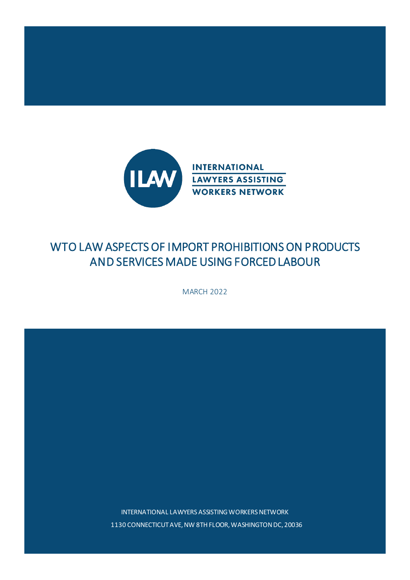

# WTO LAW ASPECTS OF IMPORT PROHIBITIONS ON PRODUCTS AND SERVICES MADE USING FORCED LABOUR

MARCH 2022

INTERNATIONAL LAWYERS ASSISTING WORKERS NETWORK 1130 CONNECTICUT AVE, NW 8TH FLOOR, WASHINGTON DC, 20036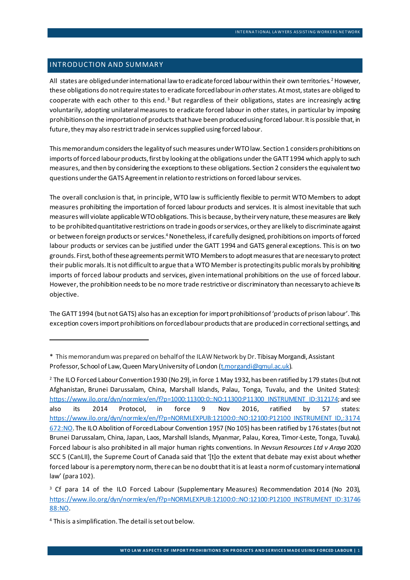# INTRODUCTION AND SUMMARY

<span id="page-1-4"></span>All states are obliged under international law to eradicate forced labour within their own territories.<sup>[2](#page-1-1)</sup> However, these obligations do not require states to eradicate forced labour in *other*states.At most, states are obliged to cooperate with each other to this end.<sup>[3](#page-1-2)</sup> But regardless of their obligations, states are increasingly acting voluntarily, adopting unilateral measures to eradicate forced labour in other states, in particular by imposing prohibitions on the importation of products that have been produced using forced labour. It is possible that, in future, they may also restrict trade in services supplied using forced labour.

This memorandum considers the legality of such measures under WTO law. Section 1 considers prohibitions on imports of forced labour products, first by looking at the obligations under the GATT 1994 which apply to such measures, and then by considering the exceptions to these obligations. Section 2 considers the equivalent two questions under the GATS Agreement in relation to restrictions on forced labourservices.

The overall conclusion is that, in principle, WTO law is sufficiently flexible to permit WTO Members to adopt measures prohibiting the importation of forced labour products and services. It is almost inevitable that such measures will violate applicable WTO obligations. This is because, by their very nature, these measures are likely to be prohibited quantitative restrictions on trade in goods or services, or they are likely to discriminate against or between foreign products or services[.4](#page-1-3)Nonetheless, if carefully designed, prohibitions on imports of forced labour products or services can be justified under the GATT 1994 and GATS general exceptions. This is on two grounds. First, both of these agreements permit WTO Members to adopt measures that are necessary to protect their public morals. It is not difficult to argue that a WTO Member is protecting its public morals by prohibiting imports of forced labour products and services, given international prohibitions on the use of forced labour. However, the prohibition needs to be no more trade restrictive or discriminatory than necessary to achieve its objective.

The GATT 1994 (but not GATS) also has an exception for import prohibitions of 'products of prison labour'. This exception covers import prohibitions on forcedlabour products that are produced in correctional settings, and

<span id="page-1-0"></span><sup>\*1</sup> This memorandum was prepared on behalf of the ILAW Network by Dr. Tibisay Morgandi, Assistant Professor, School of Law, Queen Mary University of London [\(t.morgandi@qmul.ac.uk](mailto:t.morgandi@qmul.ac.uk)).

<span id="page-1-1"></span><sup>2</sup> The ILO Forced Labour Convention 1930 (No 29), in force 1 May 1932, has been ratified by 179 states (but not Afghanistan, Brunei Darussalam, China, Marshall Islands, Palau, Tonga, Tuvalu, and the United States): [https://www.ilo.org/dyn/normlex/en/f?p=1000:11300:0::NO:11300:P11300\\_INSTRUMENT\\_ID:312174](https://www.ilo.org/dyn/normlex/en/f?p=1000:11300:0::NO:11300:P11300_INSTRUMENT_ID:312174); and see also its 2014 Protocol, in force 9 Nov 2016, ratified by 57 states: [https://www.ilo.org/dyn/normlex/en/f?p=NORMLEXPUB:12100:0::NO:12100:P12100\\_INSTRUMENT\\_ID,:3174](https://www.ilo.org/dyn/normlex/en/f?p=NORMLEXPUB:12100:0::NO:12100:P12100_INSTRUMENT_ID,:3174672:NO) [672:NO](https://www.ilo.org/dyn/normlex/en/f?p=NORMLEXPUB:12100:0::NO:12100:P12100_INSTRUMENT_ID,:3174672:NO). The ILO Abolition of Forced Labour Convention 1957 (No 105) has been ratified by 176 states (but not Brunei Darussalam, China, Japan, Laos, Marshall Islands, Myanmar, Palau, Korea, Timor-Leste, Tonga, Tuvalu). Forced labour is also prohibited in all major human rights conventions. In *Nevsun Resources Ltd v Araya* 2020 SCC 5 (CanLII), the Supreme Court of Canada said that '[t]o the extent that debate may exist about whether forced labour is a peremptory norm, there can be no doubt that it is at least a norm of customary international law' (para 102).

<span id="page-1-2"></span><sup>&</sup>lt;sup>3</sup> Cf para 14 of the ILO Forced Labour (Supplementary Measures) Recommendation 2014 (No 203), [https://www.ilo.org/dyn/normlex/en/f?p=NORMLEXPUB:12100:0::NO:12100:P12100\\_INSTRUMENT\\_ID:31746](https://www.ilo.org/dyn/normlex/en/f?p=NORMLEXPUB:12100:0::NO:12100:P12100_INSTRUMENT_ID:3174688:NO) [88:NO](https://www.ilo.org/dyn/normlex/en/f?p=NORMLEXPUB:12100:0::NO:12100:P12100_INSTRUMENT_ID:3174688:NO).

<span id="page-1-3"></span><sup>4</sup> This is a simplification. The detail is set out below.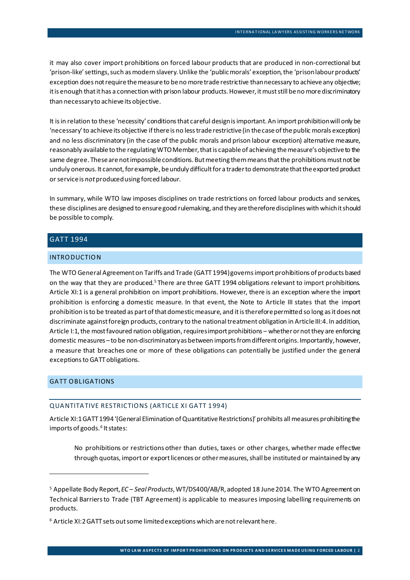it may also cover import prohibitions on forced labour products that are produced in non-correctional but 'prison-like' settings, such as modern slavery. Unlike the 'public morals' exception, the 'prison labour products' exception does not require the measure to be no moretrade restrictive than necessary to achieve any objective; it is enough that it has a connection with prison labour products. However, it must still be no morediscriminatory than necessary to achieve its objective.

It is in relation to these 'necessity' conditions that careful design is important.An import prohibition will only be 'necessary' to achieve its objective if there is no less trade restrictive (in the case of the public morals exception) and no less discriminatory (in the case of the public morals and prison labour exception) alternative measure, reasonably available to the regulating WTO Member, that is capable of achieving the measure's objective to the same degree. These are not impossible conditions. But meeting them means thatthe prohibitions must not be unduly onerous. It cannot, for example, be unduly difficult for a trader to demonstrate that the exported product or service is *not*produced using forced labour.

In summary, while WTO law imposes disciplines on trade restrictions on forced labour products and services, these disciplines are designed to ensure good rulemaking, and they are therefore disciplines with which it should be possible to comply.

# GATT 1994

## INTRODUCTION

The WTO General Agreement on Tariffs and Trade (GATT 1994) governsimport prohibitions of products based on the way that they are produced.<sup>[5](#page-2-0)</sup> There are three GATT 1994 obligations relevant to import prohibitions. Article XI:1 is a general prohibition on import prohibitions. However, there is an exception where the import prohibition is enforcing a domestic measure. In that event, the Note to Article III states that the import prohibition is to be treated as part of that domestic measure, and it is therefore permitted so long as it does not discriminate against foreign products, contrary to the national treatment obligation in Article III:4. In addition, Article I:1, the most favoured nation obligation, requires import prohibitions – whether or not they are enforcing domestic measures –to be non-discriminatory as between imports from different origins. Importantly, however, a measure that breaches one or more of these obligations can potentially be justified under the general exceptions to GATT obligations.

# GATT OBLIGATIONS

#### QUANTITATIVE RESTRICTIONS (ARTICLE XI GATT 1994)

Article XI:1 GATT 1994'(General Elimination of Quantitative Restrictions)' prohibits all measures prohibiting the imports of goods.<sup>[6](#page-2-1)</sup> It states:

No prohibitions or restrictions other than duties, taxes or other charges, whether made effective through quotas, import or export licences or other measures, shall be instituted or maintained by any

<span id="page-2-0"></span><sup>5</sup> Appellate Body Report, *EC – Seal Products*, WT/DS400/AB/R, adopted 18 June 2014*.* The WTO Agreement on Technical Barriers to Trade (TBT Agreement) is applicable to measures imposing labelling requirements on products.

<span id="page-2-1"></span><sup>6</sup> Article XI:2 GATT sets out some limited exceptions which are not relevant here.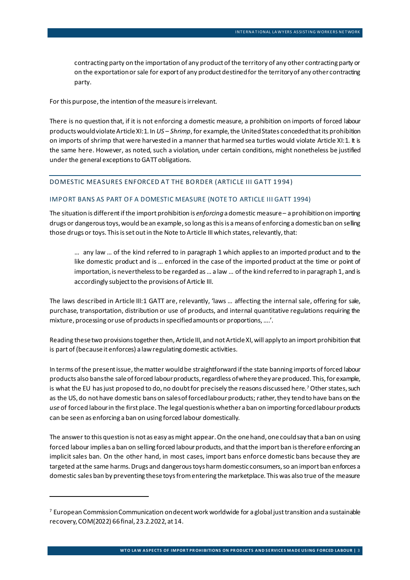contracting party on the importation of any product of the territory of any other contracting party or on the exportation or sale for export of any product destined for the territory of any other contracting party.

For this purpose, the intention of the measure is irrelevant.

There is no question that, if it is not enforcing a domestic measure, a prohibition on imports of forced labour products would violate Article XI:1. In *US – Shrimp*, for example, the United States conceded that its prohibition on imports of shrimp that were harvested in a manner that harmed sea turtles would violate Article XI:1. It is the same here. However, as noted, such a violation, under certain conditions, might nonetheless be justified under the general exceptions to GATT obligations.

#### DOMESTIC MEASURES ENFORCED AT THE BORDER (ARTICLE III GATT 1994)

#### IMPORT BANS AS PART OF A DOMESTIC MEASURE (NOTE TO ARTICLE III GATT 1994)

The situation is different if the import prohibition is *enforcing* a domestic measure – a prohibition on importing drugs or dangerous toys, would be an example, so long as this is a means of enforcing a domestic ban on selling those drugs or toys. This is set out in the Note to Article III which states, relevantly, that:

… any law … of the kind referred to in paragraph 1 which applies to an imported product and to the like domestic product and is … enforced in the case of the imported product at the time or point of importation, is neverthelessto be regarded as … a law … of the kind referred to in paragraph 1, and is accordingly subject to the provisions of Article III.

The laws described in Article III:1 GATT are, relevantly, 'laws … affecting the internal sale, offering for sale, purchase, transportation, distribution or use of products, and internal quantitative regulations requiring the mixture, processing or use of products in specified amounts or proportions,….'.

Reading these two provisions together then, Article III, and not Article XI, will apply to an import prohibition that is part of (because it enforces) a law regulating domestic activities.

In terms of the present issue, the matter wouldbe straightforward ifthe state banning imports of forced labour products also bansthe sale of forced labour products, regardless of where they are produced. This, for example, is what the EU has just proposed to do, no doubt for precisely the reasons discussed here.<sup>[7](#page-3-0)</sup> Other states, such as the US, do not have domestic bans on sales of forced labour products; rather, they tend to have bans on the *use* of forced labourin the first place. The legal question is whether a ban on importing forced labour products can be seen as enforcing a ban on using forced labour domestically.

The answer to this question is not as easy as might appear. On the one hand, onecould say that a ban on using forced labour implies a ban on selling forced labour products, and that the import ban is therefore enforcing an implicit sales ban. On the other hand, in most cases, import bans enforce domestic bans because they are targeted at the same harms. Drugs and dangerous toys harm domestic consumers, so an import ban enforces a domestic sales ban by preventing these toys from entering the marketplace. This was also true of the measure

<span id="page-3-0"></span><sup>&</sup>lt;sup>7</sup> European Commission Communication on decent work worldwide for a global just transition and a sustainable recovery, COM(2022) 66 final, 23.2.2022, at 14.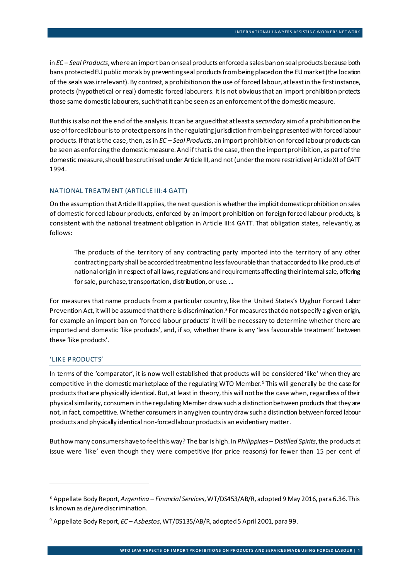in *EC – Seal Products*,where an import ban on seal products enforced a sales ban on seal products because both bans protectedEU public morals by preventing seal products from being placed on the EU market (the location of the seals was irrelevant).By contrast, a prohibition on the use of forced labour, at least in the first instance, protects (hypothetical or real) domestic forced labourers. It is not obvious that an import prohibition protects those same domestic labourers, such that it can be seen as an enforcement of the domestic measure.

But this is also not the end of the analysis. It can be argued that at least a *secondary* aim of a prohibition on the use of forced labour is to protect persons in the regulating jurisdiction from being presented with forced labour products. If that is the case, then, as in *EC – Seal Products*, an import prohibition on forced labour products can be seen as enforcing the domestic measure. And ifthat is the case, then the import prohibition, as part of the domestic measure, should be scrutinised under Article III, and not (under the more restrictive) Article XI of GATT 1994.

# NA TIONAL TREATMENT (ARTICLE III:4 GATT)

On the assumption that Article III applies, the next question is whether the implicit domestic prohibition on sales of domestic forced labour products, enforced by an import prohibition on foreign forced labour products, is consistent with the national treatment obligation in Article III:4 GATT. That obligation states, relevantly, as follows:

<span id="page-4-2"></span>The products of the territory of any contracting party imported into the territory of any other contracting party shall be accorded treatment no less favourable than that accorded to like products of national origin in respect of all laws, regulations and requirements affecting their internal sale, offering for sale, purchase, transportation, distribution, or use. …

For measures that name products from a particular country, like the United States's Uyghur Forced Labor Prevention Act, it will be assumed that there is discrimination.<sup>[8](#page-4-0)</sup> For measures that do not specify a given origin, for example an import ban on 'forced labour products' it will be necessary to determine whether there are imported and domestic 'like products', and, if so, whether there is any 'less favourable treatment' between these 'like products'.

## 'LIKE PRODUCTS'

In terms of the 'comparator', it is now well established that products will be considered 'like' when they are competitive in the domestic marketplace of the regulating WTO Member.<sup>[9](#page-4-1)</sup> This will generally be the case for products that are physically identical. But, at least in theory, this will not be the case when, regardless of their physical similarity, consumers in the regulating Member draw such a distinction between products that they are not, in fact, competitive. Whether consumers in anygiven country draw such a distinction between forced labour products and physically identical non-forced labour products is an evidentiary matter.

But how many consumers have to feel this way? The bar is high. In *Philippines – Distilled Spirits*, the products at issue were 'like' even though they were competitive (for price reasons) for fewer than 15 per cent of

<span id="page-4-0"></span><sup>8</sup> Appellate Body Report, *Argentina – Financial Services*, WT/DS453/AB/R, adopted 9 May 2016, para 6.36. This is known as *de jure* discrimination.

<span id="page-4-1"></span><sup>9</sup> Appellate Body Report, *EC – Asbestos*, WT/DS135/AB/R, adopted 5 April 2001, para 99.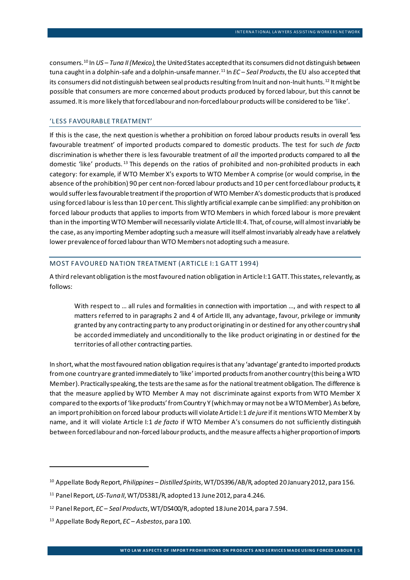consumers.<sup>[10](#page-5-0)</sup> In *US – Tuna II (Mexico)*, the United States accepted that its consumers did not distinguish between tuna caught in a dolphin-safe and a dolphin-unsafe manner. [11](#page-5-1) In *EC – Seal Products*, the EU also accepted that its consumers did not distinguish between seal products resulting from Inuit and non-Inuit hunts.<sup>[12](#page-5-2)</sup> It might be possible that consumers are more concerned about products produced by forced labour, but this cannot be assumed. It is more likely that forced labour and non-forced labour products will be considered to be 'like'.

#### 'L ESS FAVOURABLE TREATMENT'

If this is the case, the next question is whether a prohibition on forced labour products results in overall 'less favourable treatment' of imported products compared to domestic products. The test for such *de facto*  discrimination is whether there is less favourable treatment of *all* the imported products compared to all the domestic 'like' products. [13](#page-5-3) This depends on the ratios of prohibited and non-prohibited products in each category: for example, if WTO Member X's exports to WTO Member A comprise (or would comprise, in the absence of the prohibition) 90 per cent non-forced labour products and 10 per cent forced labour products, it would sufferless favourable treatment ifthe proportion of WTO Member A's domestic products that is produced using forced labour is less than 10 per cent. This slightly artificial example can be simplified: any prohibition on forced labour products that applies to imports from WTO Members in which forced labour is more prevalent than in the importing WTO Member will necessarily violate Article III: 4. That, of course, will almost invariably be the case, as any importing Member adopting such a measure will itself almost invariably already have a relatively lower prevalence of forced labourthan WTO Members not adopting such a measure.

## MOST FAVOURED NATION TREATMENT (ARTICLE I:1 GATT 1994)

A third relevant obligation is the most favoured nation obligation in Article I:1 GATT. This states, relevantly, as follows:

With respect to ... all rules and formalities in connection with importation ..., and with respect to all matters referred to in paragraphs 2 and 4 of Article III, any advantage, favour, privilege or immunity granted by any contracting party to any product originating in or destined for any other country shall be accorded immediately and unconditionally to the like product originating in or destined for the territories of all other contracting parties.

In short, what the most favoured nation obligation requires is that any 'advantage' granted to imported products from one country are granted immediately to 'like' imported products from another country (this being a WTO Member). Practically speaking, the tests are the same as for the national treatment obligation. The difference is that the measure applied by WTO Member A may not discriminate against exports from WTO Member X compared to the exports of 'like products' from Country Y (which may or may not be a WTO Member). As before, an import prohibition on forced labour products will violate Article I:1 *de jure* if it mentions WTO Member X by name, and it will violate Article I:1 *de facto* if WTO Member A's consumers do not sufficiently distinguish between forced labour and non-forced labour products, and the measure affects a higher proportion of imports

<span id="page-5-0"></span><sup>10</sup> Appellate Body Report, *Philippines – Distilled Spirits*, WT/DS396/AB/R, adopted 20 January 2012, para 156.

<span id="page-5-1"></span><sup>11</sup> Panel Report, *US-Tuna II*, WT/DS381/R, adopted 13 June 2012, para 4.246.

<span id="page-5-2"></span><sup>12</sup> Panel Report, *EC – Seal Products*, WT/DS400/R, adopted 18June 2014, para 7.594.

<span id="page-5-3"></span><sup>13</sup> Appellate Body Report, *EC – Asbestos*, para 100.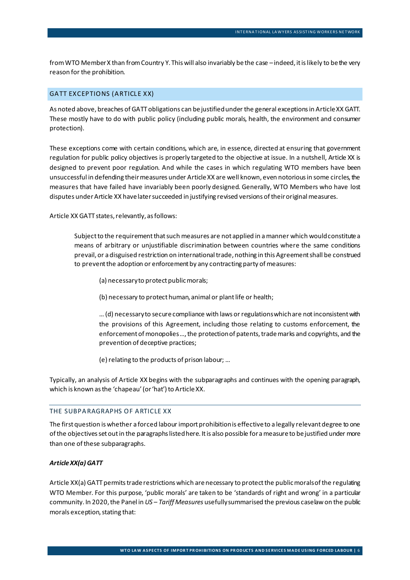from WTO Member X than from Country Y. This will also invariably be the case – indeed, it is likely to be the very reason for the prohibition.

## **GATT EXCEPTIONS (ARTICLE XX)**

As noted above, breaches of GATT obligations can be justified under the general exceptions in Article XX GATT. These mostly have to do with public policy (including public morals, health, the environment and consumer protection).

These exceptions come with certain conditions, which are, in essence, directed at ensuring that government regulation for public policy objectives is properly targeted to the objective at issue. In a nutshell, Article XX is designed to prevent poor regulation. And while the cases in which regulating WTO members have been unsuccessful in defending their measures under Article XX are well known, even notorious in some circles, the measures that have failed have invariably been poorly designed. Generally, WTO Members who have lost disputes under Article XX have later succeeded in justifying revised versions of their original measures.

Article XX GATT states, relevantly, as follows:

Subject to the requirement that such measures are not applied in a manner which would constitute a means of arbitrary or unjustifiable discrimination between countries where the same conditions prevail, or a disguised restriction on international trade, nothing in this Agreement shall be construed to prevent the adoption or enforcement by any contracting party of measures:

(a) necessary to protect public morals;

(b) necessary to protect human, animal or plant life or health;

… (d) necessary to secure compliance with laws or regulations which are not inconsistent with the provisions of this Agreement, including those relating to customs enforcement, the enforcement of monopolies ..., the protection of patents, trade marks and copyrights, and the prevention of deceptive practices;

(e) relating to the products of prison labour; …

Typically, an analysis of Article XX begins with the subparagraphs and continues with the opening paragraph, which is known as the 'chapeau' (or 'hat') to Article XX.

#### THE SUBPARAGRAPHS OF ARTICLE XX

The first question is whether a forced labour import prohibition is effective to a legally relevant degree to one of the objectives set out in the paragraphs listed here. It is also possible for a measure to be justified under more than one of these subparagraphs.

## *Article XX(a) GATT*

Article XX(a) GATT permits trade restrictions which are necessary to protect the public morals of the regulating WTO Member. For this purpose, 'public morals' are taken to be 'standards of right and wrong' in a particular community. In 2020,the Panel in *US – Tariff Measures* usefully summarised the previous caselawon the public morals exception, stating that: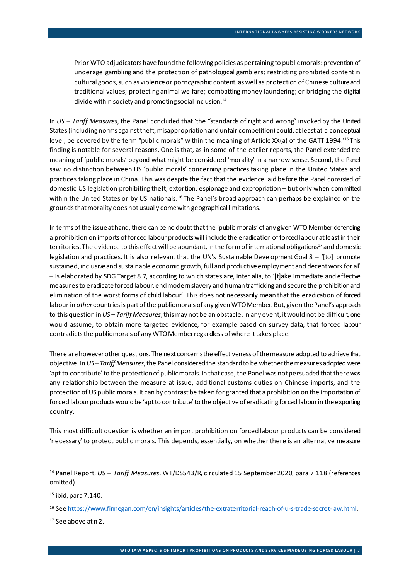Prior WTO adjudicators have found the following policies as pertaining to public morals: prevention of underage gambling and the protection of pathological gamblers; restricting prohibited content in cultural goods, such as violence or pornographic content, as well as protection of Chinese culture and traditional values; protecting animal welfare; combatting money laundering; or bridging the digital divide within society and promoting social inclusion.<sup>14</sup>

In *US – Tariff Measures*, the Panel concluded that 'the "standards of right and wrong" invoked by the United States (including norms against theft, misappropriation and unfair competition) could, at least at a conceptual level, be covered by the term "public morals" within the meaning of Article XX(a) of the GATT 1994.['15](#page-7-1) This finding is notable for several reasons. One is that, as in some of the earlier reports, the Panel extended the meaning of 'public morals' beyond what might be considered 'morality' in a narrow sense. Second, the Panel saw no distinction between US 'public morals' concerning practices taking place in the United States and practices taking place in China. This was despite the fact that the evidence laid before the Panel consisted of domestic US legislation prohibiting theft, extortion, espionage and expropriation – but only when committed within the United States or by US nationals.<sup>[16](#page-7-2)</sup> The Panel's broad approach can perhaps be explained on the grounds that morality does not usually come with geographical limitations.

In terms of the issue at hand, there can be no doubt thatthe 'public morals' of any given WTO Member defending a prohibition on imports of forced labour products will includethe eradication of forced labourat least in their territories. The evidence to this effect will be abundant, in the form of international obligations<sup>[17](#page-7-3)</sup> and domestic legislation and practices. It is also relevant that the UN's Sustainable Development Goal  $8 -$  '[to] promote sustained, inclusive and sustainable economic growth, full and productive employment and decent work for all' – is elaborated by SDG Target 8.7, according to which states are, inter alia, to '[t]ake immediate and effective measures to eradicate forced labour, end modern slavery and human trafficking and secure the prohibition and elimination of the worst forms of child labour'. This does not necessarily mean that the eradication of forced labour in *other* countries is part of the public morals of any given WTO Member. But, given the Panel's approach to this question in *US – Tariff Measures*, this may not be an obstacle. In any event, it would not be difficult, one would assume, to obtain more targeted evidence, for example based on survey data, that forced labour contradicts the public morals of any WTO Member regardless of where it takes place.

There are however other questions. The next concerns the effectiveness of the measure adopted to achieve that objective. In *US –Tariff Measures*, the Panel considered the standard to be whether the measures adopted were 'apt to contribute' to the protection of public morals. In that case, the Panel was not persuaded that there was any relationship between the measure at issue, additional customs duties on Chinese imports, and the protection of US public morals. It can by contrast be taken for granted that a prohibition on the importation of forced labour products would be 'apt to contribute' to the objective of eradicating forced labourin the exporting country.

This most difficult question is whether an import prohibition on forced labour products can be considered 'necessary' to protect public morals. This depends, essentially, on whether there is an alternative measure

<span id="page-7-0"></span><sup>14</sup> Panel Report, *US – Tariff Measures*, WT/DS543/R, circulated 15 September 2020, para 7.118 (references omitted).

<span id="page-7-1"></span> $15$  ibid, para 7.140.

<span id="page-7-2"></span><sup>16</sup> Se[e https://www.finnegan.com/en/insights/articles/the-extraterritorial-reach-of-u-s-trade-secret-law.html.](https://www.finnegan.com/en/insights/articles/the-extraterritorial-reach-of-u-s-trade-secret-law.html)

<span id="page-7-3"></span><sup>17</sup> See above at [n 2.](#page-1-4)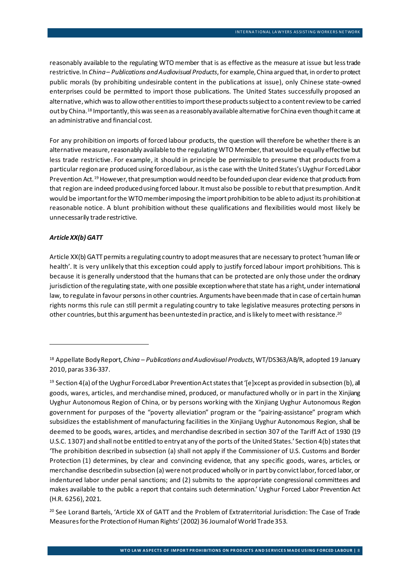reasonably available to the regulating WTO member that is as effective as the measure at issue but less trade restrictive. In *China – Publications and Audiovisual Products*, for example, China argued that, in order to protect public morals (by prohibiting undesirable content in the publications at issue), only Chinese state-owned enterprises could be permitted to import those publications. The United States successfully proposed an alternative, which was to allow other entities to import these products subject to a content review to be carried out by China.<sup>[18](#page-8-0)</sup> Importantly, this was seen as a reasonably available alternative for China even though it came at an administrative and financial cost.

For any prohibition on imports of forced labour products, the question will therefore be whether there is an alternative measure, reasonably available to the regulating WTO Member, that would be equally effective but less trade restrictive. For example, it should in principle be permissible to presume that products from a particular region are produced using forced labour, as is the case with the United States's Uyghur Forced Labor Prevention Act.<sup>[19](#page-8-1)</sup> However, that presumption would need to be founded upon clear evidence that products from that region are indeed produced using forced labour. It must also be possible to rebut that presumption. And it would be important for the WTO member imposing the import prohibition to be able to adjust its prohibition at reasonable notice. A blunt prohibition without these qualifications and flexibilities would most likely be unnecessarily trade restrictive.

#### *Article XX(b) GATT*

Article XX(b) GATT permits a regulating country to adopt measures that are necessary to protect 'human life or health'. It is very unlikely that this exception could apply to justify forced labour import prohibitions. This is because it is generally understood that the humans that can be protected are only those under the ordinary jurisdiction of the regulating state, with one possible exception where that state has a right, under international law, to regulate in favour persons in other countries. Arguments have been made that in case of certain human rights norms this rule can still permit a regulating country to take legislative measures protecting persons in other countries, but this argument has been untestedin practice, and is likely to meet with resistance.[20](#page-8-2)

<span id="page-8-0"></span><sup>18</sup> Appellate Body Report, *China – Publications and Audiovisual Products*, WT/DS363/AB/R, adopted 19 January 2010, paras 336-337.

<span id="page-8-1"></span><sup>&</sup>lt;sup>19</sup> Section 4(a) of the Uyghur Forced Labor Prevention Act states that '[e]xcept as provided in subsection (b), all goods, wares, articles, and merchandise mined, produced, or manufactured wholly or in part in the Xinjiang Uyghur Autonomous Region of China, or by persons working with the Xinjiang Uyghur Autonomous Region government for purposes of the "poverty alleviation" program or the "pairing-assistance" program which subsidizes the establishment of manufacturing facilities in the Xinjiang Uyghur Autonomous Region, shall be deemed to be goods, wares, articles, and merchandise described in section 307 of the Tariff Act of 1930 (19 U.S.C. 1307) and shall not be entitled to entry at any of the ports of the United States.' Section 4(b) states that 'The prohibition described in subsection (a) shall not apply if the Commissioner of U.S. Customs and Border Protection (1) determines, by clear and convincing evidence, that any specific goods, wares, articles, or merchandise described in subsection (a) were not produced wholly or in part by convict labor, forced labor, or indentured labor under penal sanctions; and (2) submits to the appropriate congressional committees and makes available to the public a report that contains such determination.' Uyghur Forced Labor Prevention Act (H.R. 6256), 2021.

<span id="page-8-2"></span> $20$  See Lorand Bartels, 'Article XX of GATT and the Problem of Extraterritorial Jurisdiction: The Case of Trade Measures for the Protection of Human Rights' (2002) 36 Journal of World Trade 353.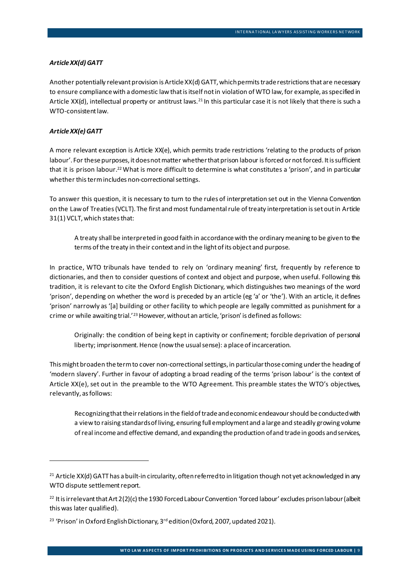#### *Article XX(d) GATT*

Another potentially relevant provision is Article XX(d) GATT, which permits trade restrictions that are necessary to ensure compliance with a domestic law that is itself not in violation of WTO law, for example, as specified in Article XX(d), intellectual property or antitrust laws.<sup>[21](#page-9-0)</sup> In this particular case it is not likely that there is such a WTO-consistent law.

#### *Article XX(e) GATT*

A more relevant exception is Article XX(e), which permits trade restrictions 'relating to the products of prison labour'. For these purposes, it does not matter whether that prison labour is forced or not forced. It is sufficient that it is prison labour.<sup>22</sup> What is more difficult to determine is what constitutes a 'prison', and in particular whether this term includes non-correctional settings.

To answer this question, it is necessary to turn to the rules of interpretation set out in the Vienna Convention on the Law of Treaties (VCLT). The first and most fundamental rule of treaty interpretation is set out in Article 31(1) VCLT, which states that:

A treaty shall be interpreted in good faith in accordance with the ordinary meaning to be given to the terms of the treaty in their context and in the light of its object and purpose.

In practice, WTO tribunals have tended to rely on 'ordinary meaning' first, frequently by reference to dictionaries, and then to consider questions of context and object and purpose, when useful. Following this tradition, it is relevant to cite the Oxford English Dictionary, which distinguishes two meanings of the word 'prison', depending on whether the word is preceded by an article (eg 'a' or 'the'). With an article, it defines 'prison' narrowly as '[a] building or other facility to which people are legally committed as punishment for a crime or while awaiting trial.'<sup>[23](#page-9-2)</sup> However, without an article, 'prison' is defined as follows:

Originally: the condition of being kept in captivity or confinement; forcible deprivation of personal liberty; imprisonment. Hence (now the usual sense): a place of incarceration.

This might broaden the term to cover non-correctional settings, in particular those coming under the heading of 'modern slavery'. Further in favour of adopting a broad reading of the terms 'prison labour' is the context of Article XX(e), set out in the preamble to the WTO Agreement. This preamble states the WTO's objectives, relevantly, as follows:

Recognizing that their relations in the field of trade and economic endeavour should be conducted with a view to raising standards of living, ensuring full employment and a large and steadily growing volume of real income and effective demand, and expanding the production of and trade in goods and services,

<span id="page-9-0"></span><sup>&</sup>lt;sup>21</sup> Article XX(d) GATT has a built-in circularity, often referred to in litigation though not yet acknowledged in any WTO dispute settlement report.

<span id="page-9-1"></span><sup>&</sup>lt;sup>22</sup> It is irrelevant that Art  $2(2)(c)$  the 1930 Forced Labour Convention 'forced labour' excludes prison labour (albeit this was later qualified).

<span id="page-9-2"></span><sup>&</sup>lt;sup>23</sup> 'Prison' in Oxford English Dictionary, 3<sup>rd</sup> edition (Oxford, 2007, updated 2021).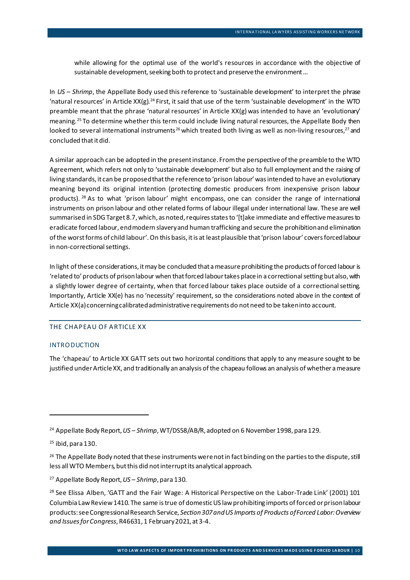while allowing for the optimal use of the world's resources in accordance with the objective of sustainable development, seeking both to protect and preserve the environment …

In *US – Shrimp*, the Appellate Body used this reference to 'sustainable development' to interpret the phrase 'natural resources' in Article XX(g).<sup>[24](#page-10-0)</sup> First, it said that use of the term 'sustainable development' in the WTO preamble meant that the phrase 'natural resources' in Article XX(g) was intended to have an 'evolutionary' meaning. [25](#page-10-1) To determine whether this term could include living natural resources, the Appellate Body then looked to several international instruments<sup>[26](#page-10-2)</sup> which treated both living as well as non-living resources,<sup>[27](#page-10-3)</sup> and concluded that it did.

A similar approach can be adopted in the present instance. From the perspective of the preamble to the WTO Agreement, which refers not only to 'sustainable development' but also to full employment and the raising of living standards, it can be proposedthatthe reference to 'prison labour' was intended to have an evolutionary meaning beyond its original intention (protecting domestic producers from inexpensive prison labour products). [28](#page-10-4) As to what 'prison labour' might encompass, one can consider the range of international instruments on prison labour and other related forms of labour illegal under international law. These are well summarised in SDG Target 8.7, which, as noted, requires states to '[t]ake immediate and effective measures to eradicate forced labour, end modern slavery and human trafficking and secure the prohibition and elimination of the worst forms of child labour'.On this basis, it is at least plausible that 'prison labour' coversforced labour in non-correctional settings.

In light of these considerations, it may be concluded that a measure prohibiting the products of forced labour is 'related to' products of prison labour when that forced labour takes place in a correctional setting but also, with a slightly lower degree of certainty, when that forced labour takes place outside of a correctional setting. Importantly, Article XX(e) has no 'necessity' requirement, so the considerations noted above in the context of Article XX(a) concerning calibrated administrative requirements do not need to be taken into account.

#### THE CHAPEAU OF ARTICLE XX

#### INTRODUCTION

The 'chapeau' to Article XX GATT sets out two horizontal conditions that apply to any measure sought to be justified under Article XX, and traditionally an analysis of the chapeau follows an analysis of whether a measure

<span id="page-10-0"></span><sup>24</sup> Appellate Body Report, *US – Shrimp*, WT/DS58/AB/R, adopted on 6 November 1998, para 129.

<span id="page-10-1"></span> $25$  ibid, para 130.

<span id="page-10-2"></span><sup>&</sup>lt;sup>26</sup> The Appellate Body noted that these instruments were not in fact binding on the parties to the dispute, still less all WTO Members, but this did not interrupt its analytical approach.

<span id="page-10-3"></span><sup>27</sup> Appellate Body Report, *US – Shrimp*, para 130.

<span id="page-10-4"></span><sup>&</sup>lt;sup>28</sup> See Elissa Alben, 'GATT and the Fair Wage: A Historical Perspective on the Labor-Trade Link' (2001) 101 Columbia Law Review 1410. The same is true of domestic US law prohibiting imports of forced or prison labour products: see Congressional Research Service, *Section 307 and US Imports of Products of Forced Labor: Overview and Issues for Congress*, R46631, 1 February2021, at 3-4.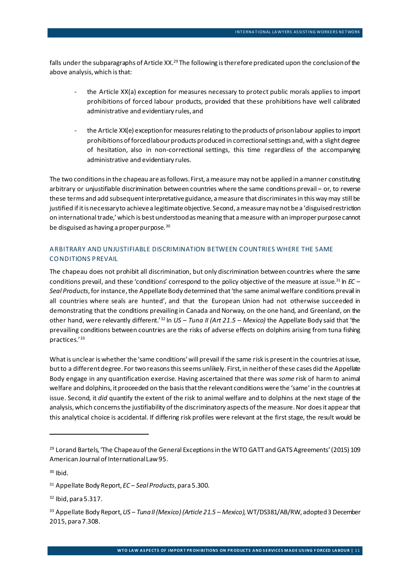falls under the subparagraphs of Article XX.<sup>[29](#page-11-0)</sup> The following is therefore predicated upon the conclusion of the above analysis, which is that:

- the Article XX(a) exception for measures necessary to protect public morals applies to import prohibitions of forced labour products, provided that these prohibitions have well calibrated administrative and evidentiary rules, and
- the Article XX(e) exception for measures relating to the products of prison labour applies to import prohibitions of forcedlabour products produced in correctional settings and, with a slight degree of hesitation, also in non-correctional settings, this time regardless of the accompanying administrative and evidentiary rules.

The two conditions in the chapeau are as follows. First, a measure may not be applied in a manner constituting arbitrary or unjustifiable discrimination between countries where the same conditions prevail – or, to reverse these terms and add subsequent interpretative guidance, a measure that discriminates in this way may still be justified if it is necessary to achieve a legitimate objective. Second, a measure may not be a 'disguised restriction on international trade,' which is best understood as meaning that a measure with an improper purpose cannot be disguised as having a proper purpose.<sup>[30](#page-11-1)</sup>

# A RBITRARY AND UNJUSTIFIABLE DISCRIMINATION BETWEEN COUNTRIES WHERE THE SAME CONDITIONS PREVAIL

The chapeau does not prohibit all discrimination, but only discrimination between countries where the same conditions prevail, and these 'conditions' correspond to the policy objective of the measure at issue[.31](#page-11-2) In *EC –* Seal Products, for instance, the Appellate Body determined that 'the same animal welfare conditions prevail in all countries where seals are hunted', and that the European Union had not otherwise succeeded in demonstrating that the conditions prevailing in Canada and Norway, on the one hand, and Greenland, on the other hand, were relevantly different.' [32](#page-11-3) In *US – Tuna II (Art 21.5 – Mexico)* the Appellate Body said that 'the prevailing conditions between countries are the risks of adverse effects on dolphins arising from tuna fishing practices.' [33](#page-11-4)

What is unclear is whether the 'same conditions' will prevail if the same risk is present in the countries at issue, but to a different degree. For two reasons this seems unlikely. First, in neither of these cases did the Appellate Body engage in any quantification exercise. Having ascertained that there was *some* risk of harm to animal welfare and dolphins, it proceeded on the basis that the relevant conditions were the 'same' in the countries at issue. Second, it *did* quantify the extent of the risk to animal welfare and to dolphins at the next stage of the analysis,which concerns the justifiability of the discriminatory aspects of the measure. Nor does it appear that this analytical choice is accidental. If differing risk profiles were relevant at the first stage, the result would be

<span id="page-11-0"></span><sup>&</sup>lt;sup>29</sup> Lorand Bartels, 'The Chapeau of the General Exceptions in the WTO GATT and GATS Agreements' (2015) 109 American Journal of International Law 95.

<span id="page-11-1"></span> $30$  Ibid.

<span id="page-11-2"></span><sup>31</sup> Appellate Body Report, *EC – Seal Products*, para 5.300.

<span id="page-11-3"></span> $32$  Ibid, para 5.317.

<span id="page-11-4"></span><sup>33</sup> Appellate Body Report, *US – Tuna II (Mexico) (Article 21.5 – Mexico)*, WT/DS381/AB/RW, adopted 3 December 2015, para 7.308.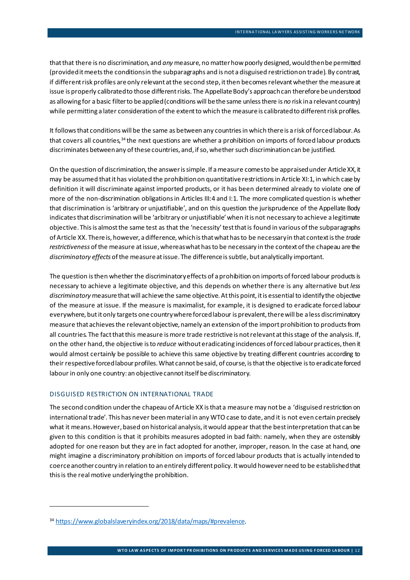that that there is no discrimination, and *any* measure, no matter how poorly designed, would then be permitted (provided it meets the conditions in the subparagraphs and is not a disguised restriction on trade). By contrast, if different risk profiles are only relevant at the second step, it then becomes relevant whether the measure at issue is properly calibrated to those different risks. The Appellate Body's approach can therefore be understood as allowing for a basic filter to be applied (conditions will be the same unless there is *no* risk in a relevant country) while permitting a later consideration of the extent to which the measure is calibrated to different risk profiles.

It follows that conditions will be the same as between any countries in which there is a risk of forced labour. As that covers all countries,<sup>[34](#page-12-0)</sup> the next questions are whether a prohibition on imports of forced labour products discriminates between any of these countries, and, if so, whether such discrimination can be justified.

On the question of discrimination, the answer is simple. If a measure comes to be appraised under Article XX, it may be assumed that it has violated the prohibition on quantitative restrictions in Article XI:1, in which case by definition it will discriminate against imported products, or it has been determined already to violate one of more of the non-discrimination obligations in Articles III:4 and I:1. The more complicated question is whether that discrimination is 'arbitrary or unjustifiable', and on this question the jurisprudence of the Appellate Body indicates that discrimination will be 'arbitrary or unjustifiable' when it is not necessary to achieve a legitimate objective. This is almost the same test as that the 'necessity' test that is found in various of the subparagraphs of Article XX. There is, however, a difference, which is that what has to be necessary in that context is the *trade restrictiveness* of the measure at issue, whereas what has to be necessary in the context of the chapeau are the *discriminatory effects* of the measure at issue. The difference is subtle, but analytically important.

The question is then whether the discriminatory effects of a prohibition on imports of forced labour products is necessary to achieve a legitimate objective, and this depends on whether there is any alternative but *less discriminatory* measure that will achieve the same objective. At this point, it is essential to identify the objective of the measure at issue. If the measure is maximalist, for example, it is designed to eradicate forced labour everywhere, but it only targets one country where forced labour is prevalent, there will be a less discriminatory measure that achieves the relevant objective, namely an extension of the import prohibition to products from all countries. The fact that this measure is more trade restrictive is not relevant at this stage of the analysis. If, on the other hand, the objective is to *reduce* without eradicating incidences of forced labourpractices, then it would almost certainly be possible to achieve this same objective by treating different countries according to their respective forced labour profiles. What cannot be said, of course, is that the objective is to eradicate forced labour in only one country: an objectivecannot itself be discriminatory.

#### DISGUISED RESTRICTION ON INTERNATIONAL TRADE

The second condition under the chapeau of Article XX is that a measure may not be a 'disguised restriction on international trade'. This has never been material in any WTO case to date, and it is not even certain precisely what it means. However, based on historical analysis, it would appear that the best interpretation that can be given to this condition is that it prohibits measures adopted in bad faith: namely, when they are ostensibly adopted for one reason but they are in fact adopted for another, improper, reason. In the case at hand, one might imagine a discriminatory prohibition on imports of forced labour products that is actually intended to coerce another country in relation to an entirely different policy. It would however need to be established that this is the real motive underlying the prohibition.

<span id="page-12-0"></span><sup>34</sup> <https://www.globalslaveryindex.org/2018/data/maps/#prevalence>.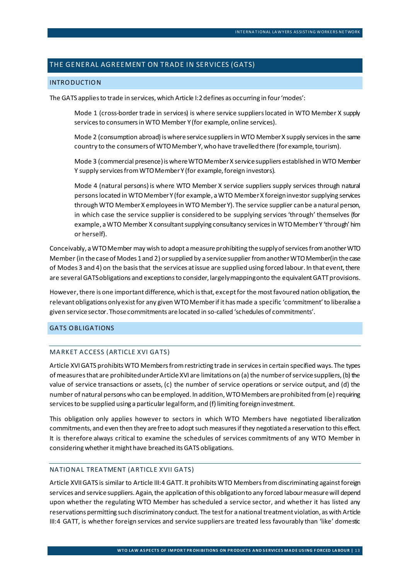# THE GENERAL AGREEMENT ON TRADE IN SERVICES (GATS)

#### INTRODUCTION

The GATS applies to trade in services, which Article I:2 defines as occurring in four 'modes':

Mode 1 (cross-border trade in services) is where service suppliers located in WTO Member X supply services to consumers in WTO Member Y (for example, online services).

Mode 2 (consumption abroad) is where service suppliers in WTO MemberX supply services in the same country to the consumers of WTO MemberY, who have travelled there (for example, tourism).

Mode 3 (commercial presence) is where WTO Member X servicesuppliers established in WTO Member Y supply services from WTO Member Y (for example, foreign investors).

Mode 4 (natural persons) is where WTO Member X service suppliers supply services through natural persons located in WTO Member Y (for example, a WTO Member X foreign investor supplying services through WTO Member X employees in WTO Member Y). The service supplier can be a natural person, in which case the service supplier is considered to be supplying services 'through' themselves (for example, a WTO Member X consultantsupplying consultancy services in WTO Member Y 'through' him or herself).

Conceivably, a WTO Member may wish to adopt a measure prohibiting the supply of services from another WTO Member (in the case of Modes 1 and 2) or supplied by a service supplier from anotherWTO Member(in the case of Modes 3 and 4) on the basis that the services at issue are supplied using forced labour. In that event, there are several GATS obligations and exceptions to consider, largely mapping onto the equivalent GATT provisions.

However, there is one important difference, which is that, except for the most favoured nation obligation, the relevant obligations only exist for any given WTO Member if it has made a specific 'commitment' to liberalise a given service sector. Those commitments are located in so-called 'schedules of commitments'.

# GATS OBLIGATIONS

### MARKET ACCESS (ARTICLE XVI GATS)

Article XVI GATS prohibits WTO Members from restricting trade in services in certain specified ways. The types of measures that are prohibited under Article XVI are limitations on (a) the number of service suppliers, (b) the value of service transactions or assets, (c) the number of service operations or service output, and (d) the number of natural persons who can be employed. In addition, WTO Members are prohibited from (e) requiring services to be supplied using a particular legal form, and (f) limiting foreign investment.

This obligation only applies however to sectors in which WTO Members have negotiated liberalization commitments, and even then they are free to adopt such measures if they negotiated a reservation to this effect. It is therefore always critical to examine the schedules of services commitments of any WTO Member in considering whether it might have breached its GATS obligations.

#### NATIONAL TREATMENT (ARTICLE XVII GATS)

Article XVII GATS is similar to Article III:4 GATT. It prohibits WTO Members from discriminating against foreign services and service suppliers. Again, the application of this obligation to any forced labour measure will depend upon whether the regulating WTO Member has scheduled a service sector, and whether it has listed any reservations permitting such discriminatory conduct. The test for a national treatment violation, as with Article III:4 GATT, is whether foreign services and service suppliers are treated less favourably than 'like' domestic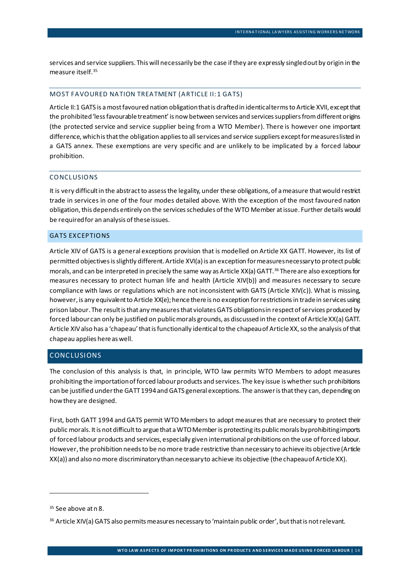services and service suppliers. This will necessarily be the case if they are expressly singled out by origin in the measure itself.[35](#page-14-0)

### MOST FAVOURED NATION TREATMENT (ARTICLE II:1 GATS)

Article II:1 GATS is a most favoured nation obligation that is draftedin identical terms to Article XVII, except that the prohibited 'less favourable treatment' is now between services and services suppliers from different origins (the protected service and service supplier being from a WTO Member). There is however one important difference, which is that the obligation applies to all services and service suppliers except for measures listed in a GATS annex. These exemptions are very specific and are unlikely to be implicated by a forced labour prohibition.

#### CONCLUSIONS

It is very difficult in the abstract to assess the legality, under these obligations, of a measure that would restrict trade in services in one of the four modes detailed above. With the exception of the most favoured nation obligation, this depends entirely on the services schedules of the WTO Member at issue. Further details would be required for an analysis of these issues.

#### GATS EXCEPTIONS

Article XIV of GATS is a general exceptions provision that is modelled on Article XX GATT. However, its list of permitted objectives is slightly different. Article XVI(a) is an exception for measures necessary to protect public morals, and can be interpreted in precisely the same way as Article XX(a) GATT.[36](#page-14-1) There are also exceptions for measures necessary to protect human life and health (Article XIV(b)) and measures necessary to secure compliance with laws or regulations which are not inconsistent with GATS (Article XIV(c)). What is missing, however, is any equivalent to Article XX(e); hence there is no exception for restrictions in trade in services using prison labour. The result is that any measures that violates GATS obligations in respect of services produced by forced labour can only be justified on public morals grounds, as discussed in the context of Article XX(a) GATT. Article XIV also has a 'chapeau' that is functionally identical to the chapeau of Article XX, so the analysis of that chapeau applies here as well.

# CONCLUSIONS

The conclusion of this analysis is that, in principle, WTO law permits WTO Members to adopt measures prohibiting the importation of forced labour products and services. The key issue is whether such prohibitions can be justified under the GATT 1994 and GATS general exceptions. The answer is that they can, depending on how they are designed.

First, both GATT 1994 and GATS permit WTO Members to adopt measures that are necessary to protect their public morals. It is not difficult to argue that a WTO Member is protecting its public morals by prohibiting imports of forced labour products and services, especially given international prohibitions on the use of forced labour. However, the prohibition needs to be no more trade restrictive than necessary to achieve its objective(Article XX(a)) and also no more discriminatory than necessary to achieve its objective (the chapeau of Article XX).

<span id="page-14-0"></span><sup>&</sup>lt;sup>35</sup> See above at [n 8.](#page-4-2)

<span id="page-14-1"></span><sup>36</sup> Article XIV(a) GATS also permits measures necessary to 'maintain public order', but that is not relevant.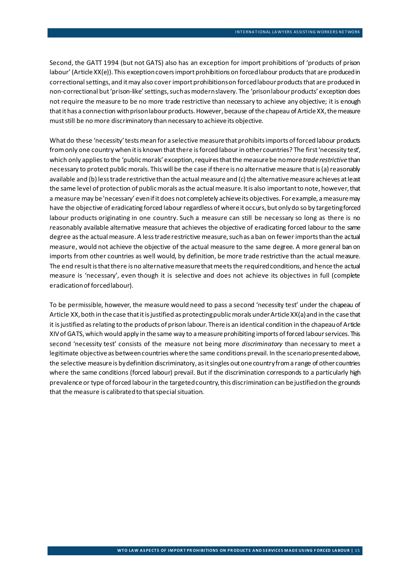Second, the GATT 1994 (but not GATS) also has an exception for import prohibitions of 'products of prison labour'(Article XX(e)). This exception covers import prohibitions on forcedlabour products that are produced in correctional settings, and it may also cover import prohibitions on forced labour products that are produced in non-correctional but 'prison-like' settings, such as modern slavery. The 'prison labourproducts' exception does not require the measure to be no more trade restrictive than necessary to achieve any objective; it is enough that it has a connection with prison labour products. However, because of the chapeau of Article XX, the measure must still be no more discriminatory than necessary to achieve its objective.

What do these 'necessity' tests mean for a selective measure that prohibits imports of forced labour products from only one country when it is known that there is forced labour in other countries? The first 'necessity test', which only applies to the 'public morals' exception, requires that the measure be no more *trade restrictive* than necessary to protect public morals. This will be the case if there is no alternative measure that is (a) reasonably available and (b) less trade restrictive than the actual measureand (c) the alternative measureachieves at least the same level of protection of public morals as the actual measure. It is also important to note, however, that a measure may be 'necessary' even if it does not completely achieve its objectives. For example, a measure may have the objective of eradicating forced labour regardless of where it occurs, but only do so by targeting forced labour products originating in one country. Such a measure can still be necessary so long as there is no reasonably available alternative measure that achieves the objective of eradicating forced labour to the same degree as the actual measure. A less trade restrictive measure, such as a ban on fewer imports than the actual measure, would not achieve the objective of the actual measure to the same degree. A more general ban on imports from other countries as well would, by definition, be more trade restrictive than the actual measure. The end result is that there is no alternative measure that meets the required conditions, and hence the actual measure is 'necessary', even though it is selective and does not achieve its objectives in full (complete eradication of forced labour).

To be permissible, however, the measure would need to pass a second 'necessity test' under the chapeau of Article XX, both in the case that it is justified as protecting public morals under Article XX(a) and in the case that it is justified as relating to the products of prison labour. There is an identical condition in the chapeau of Article XIV of GATS, which would apply in the same way to a measure prohibiting imports of forced labour services. This second 'necessity test' consists of the measure not being more *discriminatory* than necessary to meet a legitimate objective as between countries where the same conditions prevail. In the scenario presented above, the selective measureis by definition discriminatory, as it singles out one country from a range of other countries where the same conditions (forced labour) prevail. But if the discrimination corresponds to a particularly high prevalence or type of forced labour in the targeted country, this discrimination can be justified on the grounds that the measure is calibrated to that special situation.